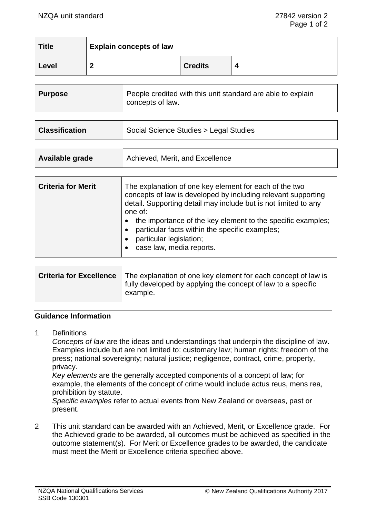| <b>Title</b> | <b>Explain concepts of law</b> |                |  |
|--------------|--------------------------------|----------------|--|
| Level        |                                | <b>Credits</b> |  |

| People credited with this unit standard are able to explain |  | <b>Purpose</b> | concepts of law. |
|-------------------------------------------------------------|--|----------------|------------------|
|-------------------------------------------------------------|--|----------------|------------------|

| <b>Classification</b> | Social Science Studies > Legal Studies |
|-----------------------|----------------------------------------|
|                       |                                        |

| Available grade | Achieved, Merit, and Excellence |
|-----------------|---------------------------------|
|                 |                                 |

| <b>Criteria for Merit</b> | The explanation of one key element for each of the two<br>concepts of law is developed by including relevant supporting<br>detail. Supporting detail may include but is not limited to any<br>one of: |
|---------------------------|-------------------------------------------------------------------------------------------------------------------------------------------------------------------------------------------------------|
|                           | the importance of the key element to the specific examples;<br>particular facts within the specific examples;<br>particular legislation;<br>case law, media reports.                                  |

| Criteria for Excellence   The explanation of one key element for each concept of law is<br>I fully developed by applying the concept of law to a specific<br>' example. |
|-------------------------------------------------------------------------------------------------------------------------------------------------------------------------|
|                                                                                                                                                                         |

#### **Guidance Information**

1 Definitions

*Concepts of law* are the ideas and understandings that underpin the discipline of law. Examples include but are not limited to: customary law; human rights; freedom of the press; national sovereignty; natural justice; negligence, contract, crime, property, privacy.

*Key elements* are the generally accepted components of a concept of law; for example, the elements of the concept of crime would include actus reus, mens rea, prohibition by statute.

*Specific examples* refer to actual events from New Zealand or overseas, past or present.

2 This unit standard can be awarded with an Achieved, Merit, or Excellence grade. For the Achieved grade to be awarded, all outcomes must be achieved as specified in the outcome statement(s). For Merit or Excellence grades to be awarded, the candidate must meet the Merit or Excellence criteria specified above.